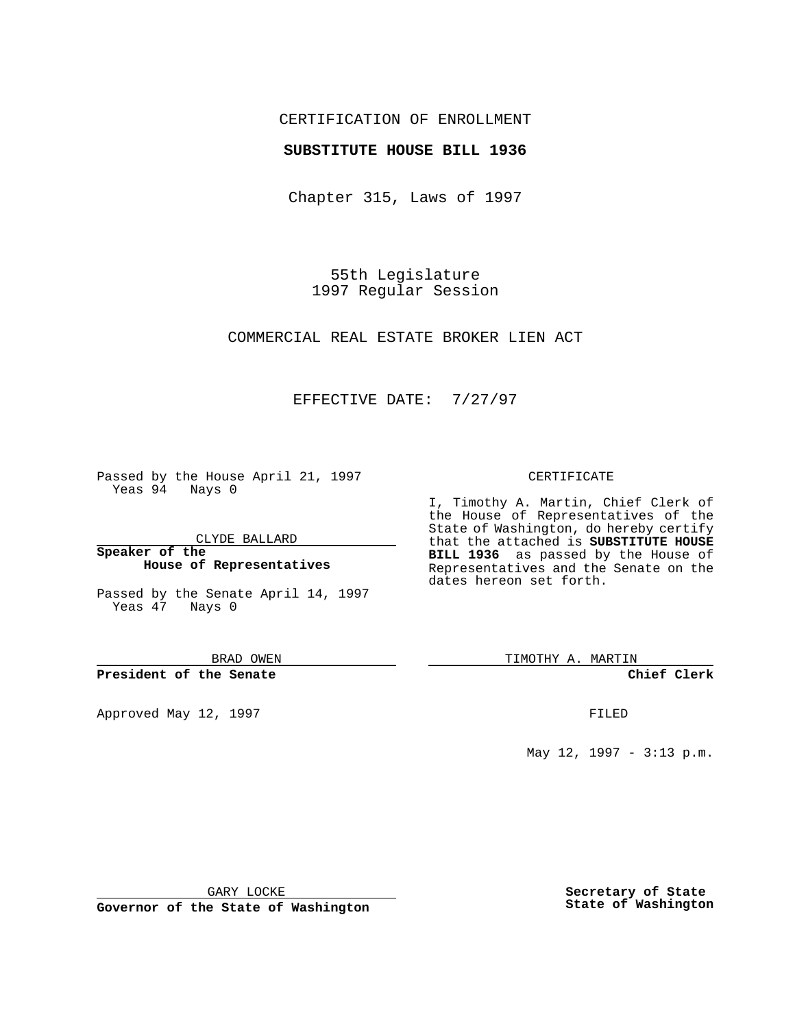## CERTIFICATION OF ENROLLMENT

#### **SUBSTITUTE HOUSE BILL 1936**

Chapter 315, Laws of 1997

55th Legislature 1997 Regular Session

COMMERCIAL REAL ESTATE BROKER LIEN ACT

## EFFECTIVE DATE: 7/27/97

Passed by the House April 21, 1997 Yeas 94 Nays 0

CLYDE BALLARD

**Speaker of the House of Representatives**

Passed by the Senate April 14, 1997 Yeas 47 Nays 0

BRAD OWEN

**President of the Senate**

Approved May 12, 1997 **FILED** 

#### CERTIFICATE

I, Timothy A. Martin, Chief Clerk of the House of Representatives of the State of Washington, do hereby certify that the attached is **SUBSTITUTE HOUSE BILL 1936** as passed by the House of Representatives and the Senate on the dates hereon set forth.

TIMOTHY A. MARTIN

**Chief Clerk**

May 12, 1997 - 3:13 p.m.

GARY LOCKE

**Governor of the State of Washington**

**Secretary of State State of Washington**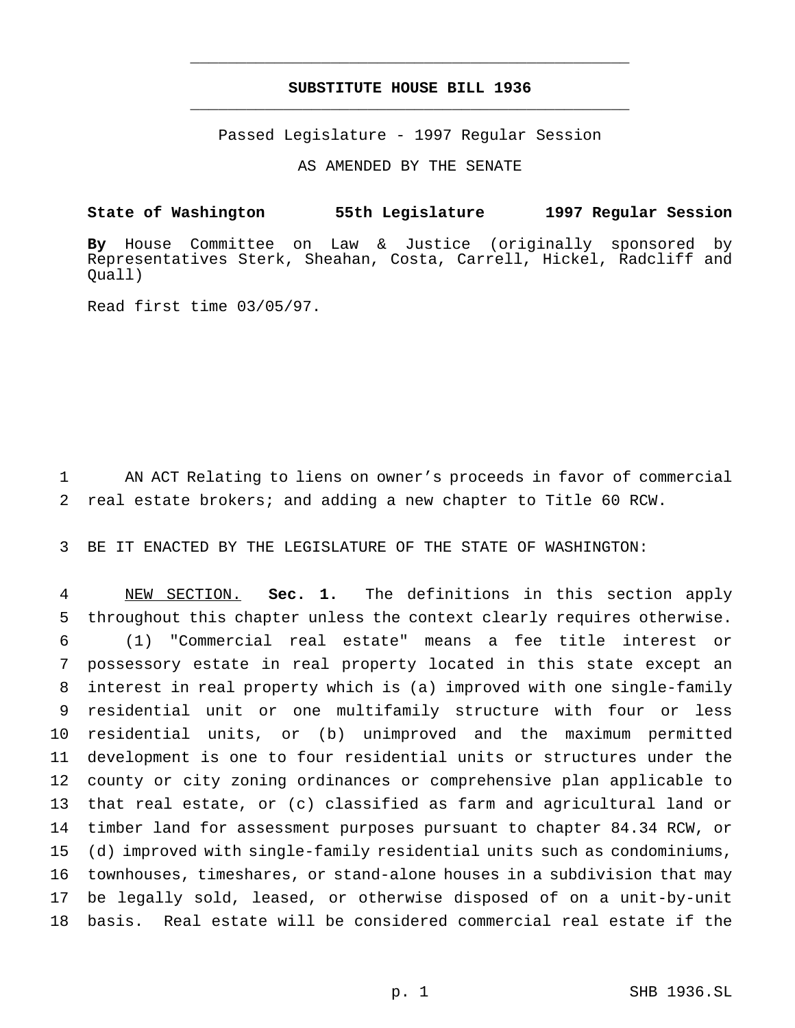# **SUBSTITUTE HOUSE BILL 1936** \_\_\_\_\_\_\_\_\_\_\_\_\_\_\_\_\_\_\_\_\_\_\_\_\_\_\_\_\_\_\_\_\_\_\_\_\_\_\_\_\_\_\_\_\_\_\_

\_\_\_\_\_\_\_\_\_\_\_\_\_\_\_\_\_\_\_\_\_\_\_\_\_\_\_\_\_\_\_\_\_\_\_\_\_\_\_\_\_\_\_\_\_\_\_

Passed Legislature - 1997 Regular Session

AS AMENDED BY THE SENATE

**State of Washington 55th Legislature 1997 Regular Session**

**By** House Committee on Law & Justice (originally sponsored by Representatives Sterk, Sheahan, Costa, Carrell, Hickel, Radcliff and Quall)

Read first time 03/05/97.

 AN ACT Relating to liens on owner's proceeds in favor of commercial real estate brokers; and adding a new chapter to Title 60 RCW.

BE IT ENACTED BY THE LEGISLATURE OF THE STATE OF WASHINGTON:

 NEW SECTION. **Sec. 1.** The definitions in this section apply throughout this chapter unless the context clearly requires otherwise. (1) "Commercial real estate" means a fee title interest or possessory estate in real property located in this state except an interest in real property which is (a) improved with one single-family residential unit or one multifamily structure with four or less residential units, or (b) unimproved and the maximum permitted development is one to four residential units or structures under the county or city zoning ordinances or comprehensive plan applicable to that real estate, or (c) classified as farm and agricultural land or timber land for assessment purposes pursuant to chapter 84.34 RCW, or (d) improved with single-family residential units such as condominiums, townhouses, timeshares, or stand-alone houses in a subdivision that may be legally sold, leased, or otherwise disposed of on a unit-by-unit basis. Real estate will be considered commercial real estate if the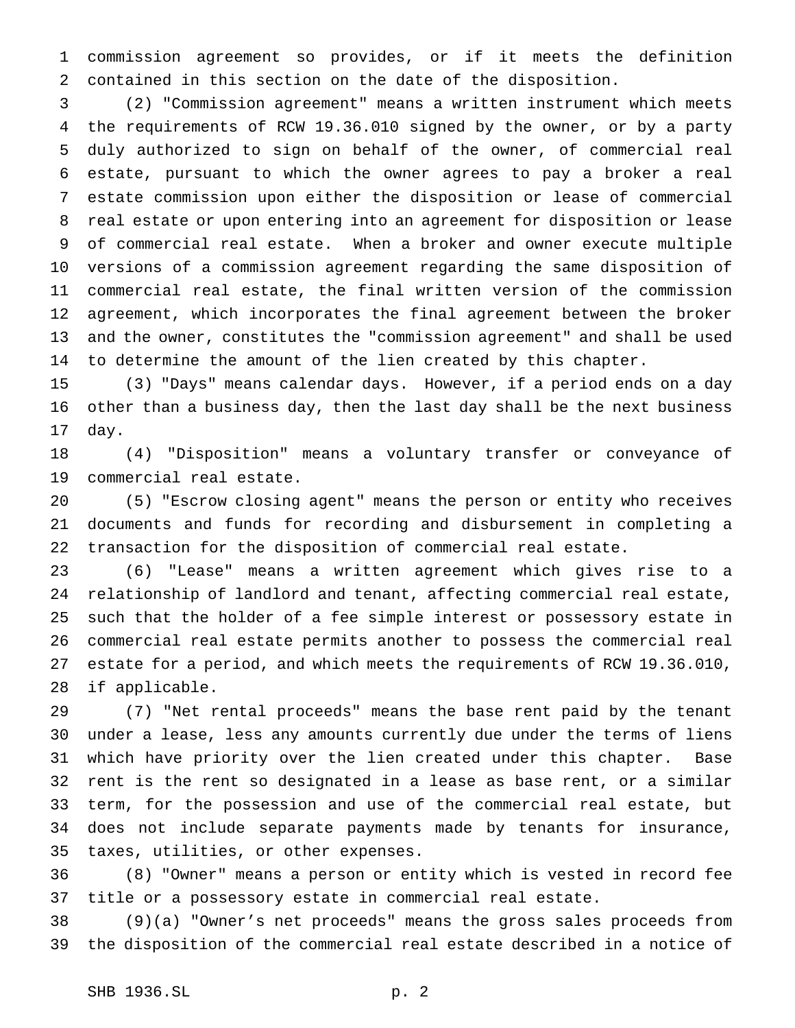commission agreement so provides, or if it meets the definition contained in this section on the date of the disposition.

 (2) "Commission agreement" means a written instrument which meets the requirements of RCW 19.36.010 signed by the owner, or by a party duly authorized to sign on behalf of the owner, of commercial real estate, pursuant to which the owner agrees to pay a broker a real estate commission upon either the disposition or lease of commercial real estate or upon entering into an agreement for disposition or lease of commercial real estate. When a broker and owner execute multiple versions of a commission agreement regarding the same disposition of commercial real estate, the final written version of the commission agreement, which incorporates the final agreement between the broker and the owner, constitutes the "commission agreement" and shall be used to determine the amount of the lien created by this chapter.

 (3) "Days" means calendar days. However, if a period ends on a day other than a business day, then the last day shall be the next business day.

 (4) "Disposition" means a voluntary transfer or conveyance of commercial real estate.

 (5) "Escrow closing agent" means the person or entity who receives documents and funds for recording and disbursement in completing a transaction for the disposition of commercial real estate.

 (6) "Lease" means a written agreement which gives rise to a relationship of landlord and tenant, affecting commercial real estate, such that the holder of a fee simple interest or possessory estate in commercial real estate permits another to possess the commercial real estate for a period, and which meets the requirements of RCW 19.36.010, if applicable.

 (7) "Net rental proceeds" means the base rent paid by the tenant under a lease, less any amounts currently due under the terms of liens which have priority over the lien created under this chapter. Base rent is the rent so designated in a lease as base rent, or a similar term, for the possession and use of the commercial real estate, but does not include separate payments made by tenants for insurance, taxes, utilities, or other expenses.

 (8) "Owner" means a person or entity which is vested in record fee title or a possessory estate in commercial real estate.

 (9)(a) "Owner's net proceeds" means the gross sales proceeds from the disposition of the commercial real estate described in a notice of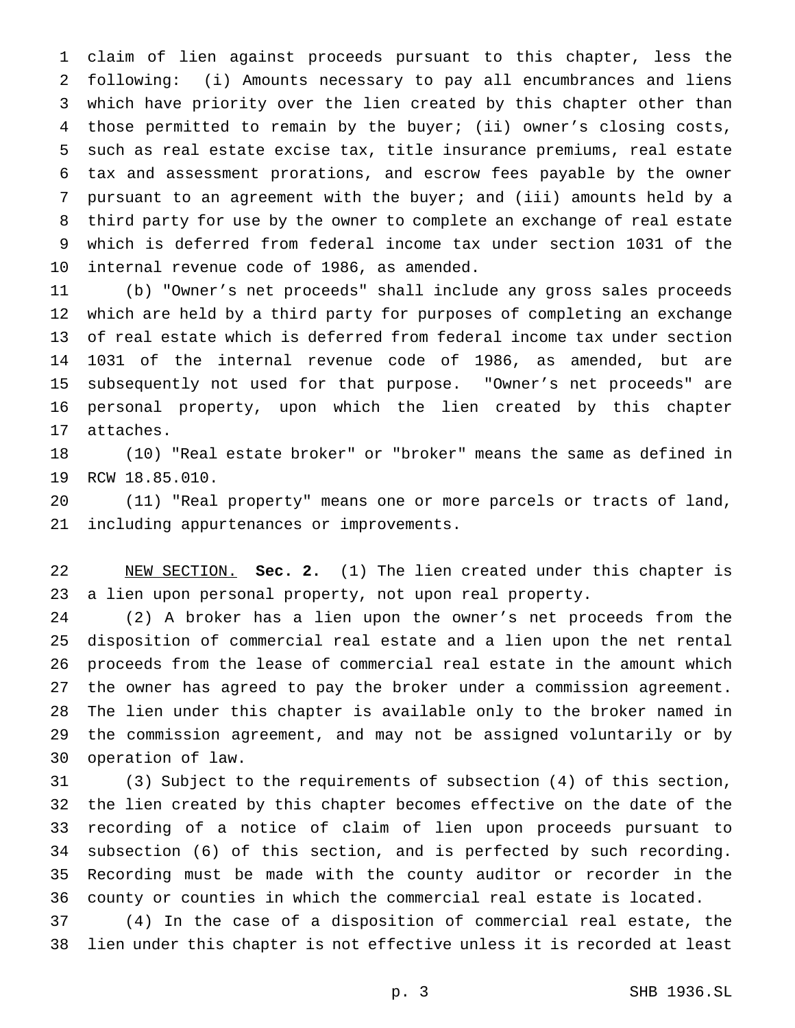claim of lien against proceeds pursuant to this chapter, less the following: (i) Amounts necessary to pay all encumbrances and liens which have priority over the lien created by this chapter other than those permitted to remain by the buyer; (ii) owner's closing costs, such as real estate excise tax, title insurance premiums, real estate tax and assessment prorations, and escrow fees payable by the owner pursuant to an agreement with the buyer; and (iii) amounts held by a third party for use by the owner to complete an exchange of real estate which is deferred from federal income tax under section 1031 of the internal revenue code of 1986, as amended.

 (b) "Owner's net proceeds" shall include any gross sales proceeds which are held by a third party for purposes of completing an exchange of real estate which is deferred from federal income tax under section 1031 of the internal revenue code of 1986, as amended, but are subsequently not used for that purpose. "Owner's net proceeds" are personal property, upon which the lien created by this chapter attaches.

 (10) "Real estate broker" or "broker" means the same as defined in RCW 18.85.010.

 (11) "Real property" means one or more parcels or tracts of land, including appurtenances or improvements.

 NEW SECTION. **Sec. 2.** (1) The lien created under this chapter is a lien upon personal property, not upon real property.

 (2) A broker has a lien upon the owner's net proceeds from the disposition of commercial real estate and a lien upon the net rental proceeds from the lease of commercial real estate in the amount which the owner has agreed to pay the broker under a commission agreement. The lien under this chapter is available only to the broker named in the commission agreement, and may not be assigned voluntarily or by operation of law.

 (3) Subject to the requirements of subsection (4) of this section, the lien created by this chapter becomes effective on the date of the recording of a notice of claim of lien upon proceeds pursuant to subsection (6) of this section, and is perfected by such recording. Recording must be made with the county auditor or recorder in the county or counties in which the commercial real estate is located.

 (4) In the case of a disposition of commercial real estate, the lien under this chapter is not effective unless it is recorded at least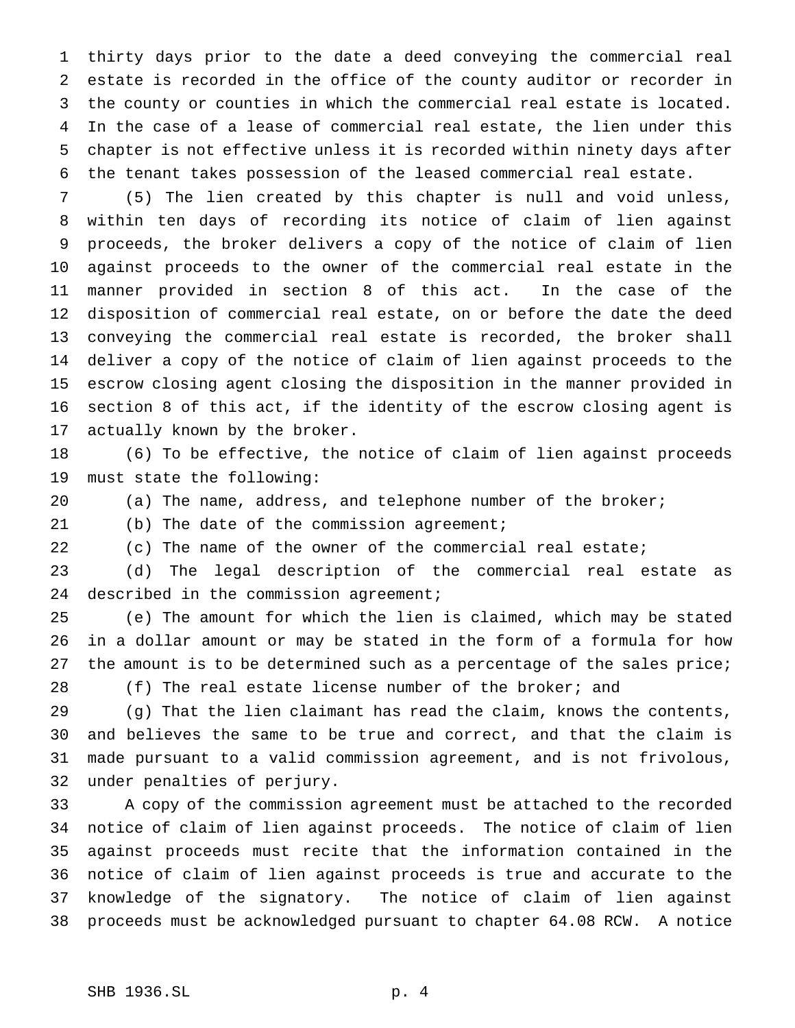thirty days prior to the date a deed conveying the commercial real estate is recorded in the office of the county auditor or recorder in the county or counties in which the commercial real estate is located. In the case of a lease of commercial real estate, the lien under this chapter is not effective unless it is recorded within ninety days after the tenant takes possession of the leased commercial real estate.

 (5) The lien created by this chapter is null and void unless, within ten days of recording its notice of claim of lien against proceeds, the broker delivers a copy of the notice of claim of lien against proceeds to the owner of the commercial real estate in the manner provided in section 8 of this act. In the case of the disposition of commercial real estate, on or before the date the deed conveying the commercial real estate is recorded, the broker shall deliver a copy of the notice of claim of lien against proceeds to the escrow closing agent closing the disposition in the manner provided in section 8 of this act, if the identity of the escrow closing agent is actually known by the broker.

 (6) To be effective, the notice of claim of lien against proceeds must state the following:

(a) The name, address, and telephone number of the broker;

(b) The date of the commission agreement;

(c) The name of the owner of the commercial real estate;

 (d) The legal description of the commercial real estate as 24 described in the commission agreement;

 (e) The amount for which the lien is claimed, which may be stated in a dollar amount or may be stated in the form of a formula for how 27 the amount is to be determined such as a percentage of the sales price;

(f) The real estate license number of the broker; and

 (g) That the lien claimant has read the claim, knows the contents, and believes the same to be true and correct, and that the claim is made pursuant to a valid commission agreement, and is not frivolous, under penalties of perjury.

 A copy of the commission agreement must be attached to the recorded notice of claim of lien against proceeds. The notice of claim of lien against proceeds must recite that the information contained in the notice of claim of lien against proceeds is true and accurate to the knowledge of the signatory. The notice of claim of lien against proceeds must be acknowledged pursuant to chapter 64.08 RCW. A notice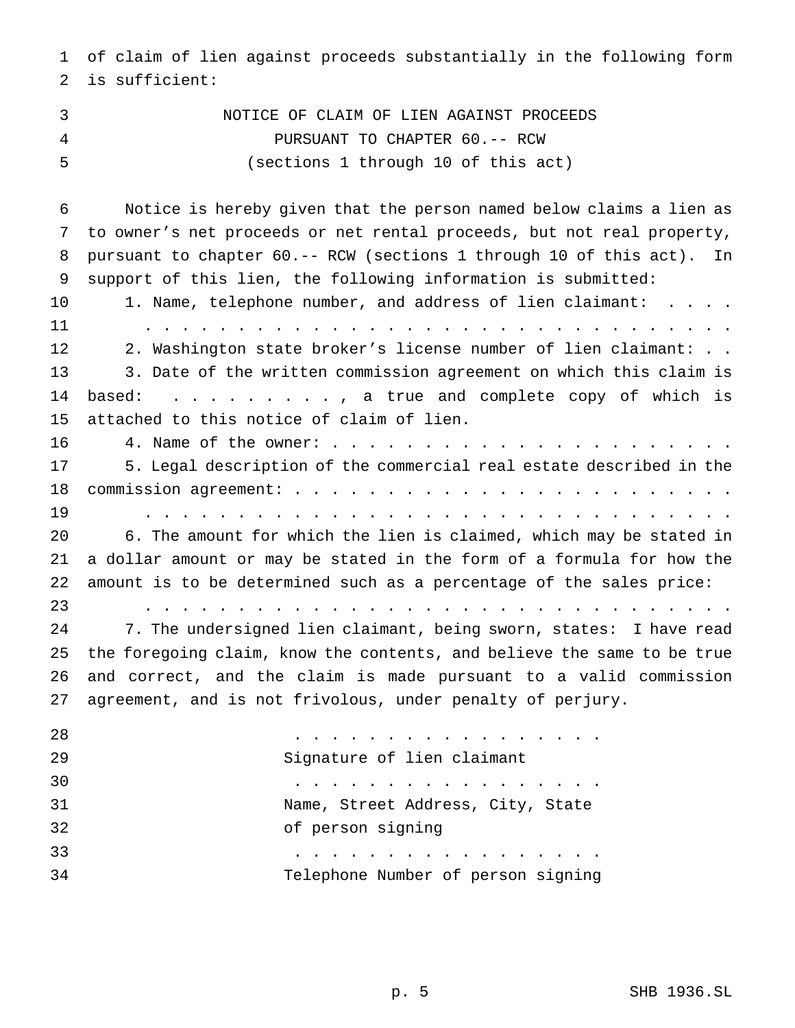of claim of lien against proceeds substantially in the following form is sufficient:

 NOTICE OF CLAIM OF LIEN AGAINST PROCEEDS PURSUANT TO CHAPTER 60.-- RCW (sections 1 through 10 of this act)

 Notice is hereby given that the person named below claims a lien as to owner's net proceeds or net rental proceeds, but not real property, pursuant to chapter 60.-- RCW (sections 1 through 10 of this act). In support of this lien, the following information is submitted: 10 1. Name, telephone number, and address of lien claimant: . . . . ................................ 2. Washington state broker's license number of lien claimant: . . 3. Date of the written commission agreement on which this claim is based: ........., a true and complete copy of which is attached to this notice of claim of lien. 4. Name of the owner:...................... 5. Legal description of the commercial real estate described in the commission agreement:........................ ................................ 6. The amount for which the lien is claimed, which may be stated in a dollar amount or may be stated in the form of a formula for how the amount is to be determined such as a percentage of the sales price: ................................ 7. The undersigned lien claimant, being sworn, states: I have read the foregoing claim, know the contents, and believe the same to be true and correct, and the claim is made pursuant to a valid commission agreement, and is not frivolous, under penalty of perjury. ................. Signature of lien claimant ................. Name, Street Address, City, State of person signing .................

Telephone Number of person signing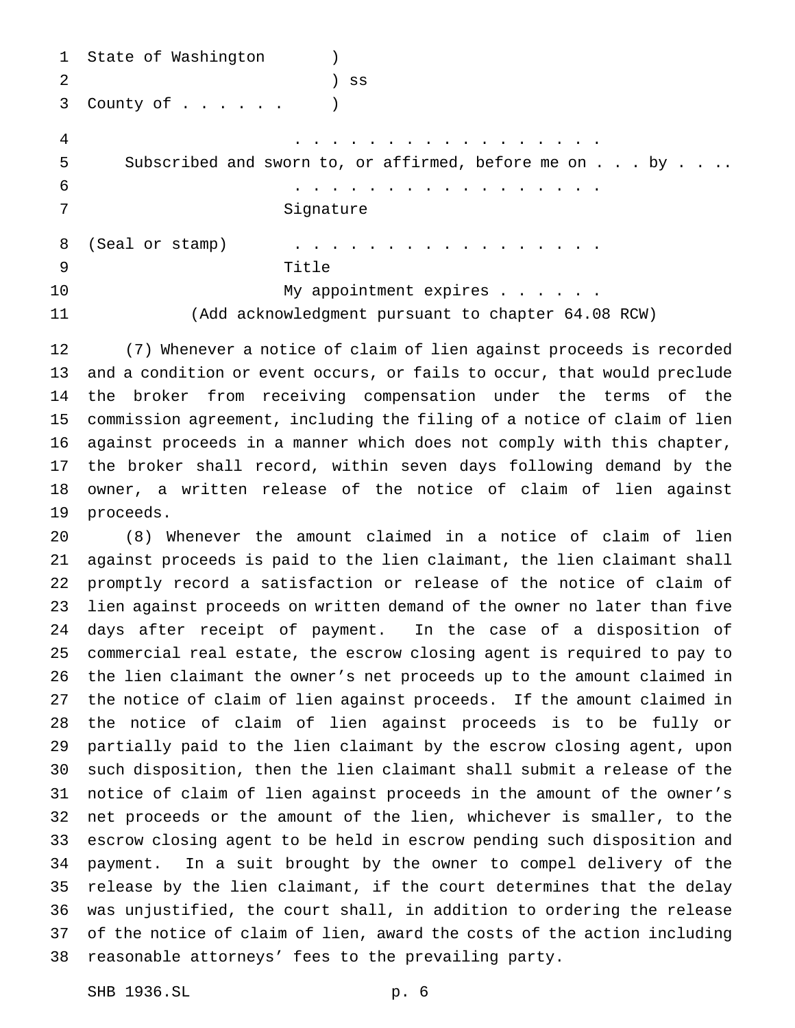```
1 State of Washington )
2 ) ss
3 County of...... )
4 .................
5 Subscribed and sworn to, or affirmed, before me on . . . by . . ..
6 .................
7 Signature
8 (Seal or stamp) . . . . . . . . . . . . . . . . .
9 Title
10 My appointment expires . . . . .
11 (Add acknowledgment pursuant to chapter 64.08 RCW)
```
 (7) Whenever a notice of claim of lien against proceeds is recorded and a condition or event occurs, or fails to occur, that would preclude the broker from receiving compensation under the terms of the commission agreement, including the filing of a notice of claim of lien against proceeds in a manner which does not comply with this chapter, the broker shall record, within seven days following demand by the owner, a written release of the notice of claim of lien against proceeds.

 (8) Whenever the amount claimed in a notice of claim of lien against proceeds is paid to the lien claimant, the lien claimant shall promptly record a satisfaction or release of the notice of claim of lien against proceeds on written demand of the owner no later than five days after receipt of payment. In the case of a disposition of commercial real estate, the escrow closing agent is required to pay to the lien claimant the owner's net proceeds up to the amount claimed in the notice of claim of lien against proceeds. If the amount claimed in the notice of claim of lien against proceeds is to be fully or partially paid to the lien claimant by the escrow closing agent, upon such disposition, then the lien claimant shall submit a release of the notice of claim of lien against proceeds in the amount of the owner's net proceeds or the amount of the lien, whichever is smaller, to the escrow closing agent to be held in escrow pending such disposition and payment. In a suit brought by the owner to compel delivery of the release by the lien claimant, if the court determines that the delay was unjustified, the court shall, in addition to ordering the release of the notice of claim of lien, award the costs of the action including reasonable attorneys' fees to the prevailing party.

SHB 1936.SL p. 6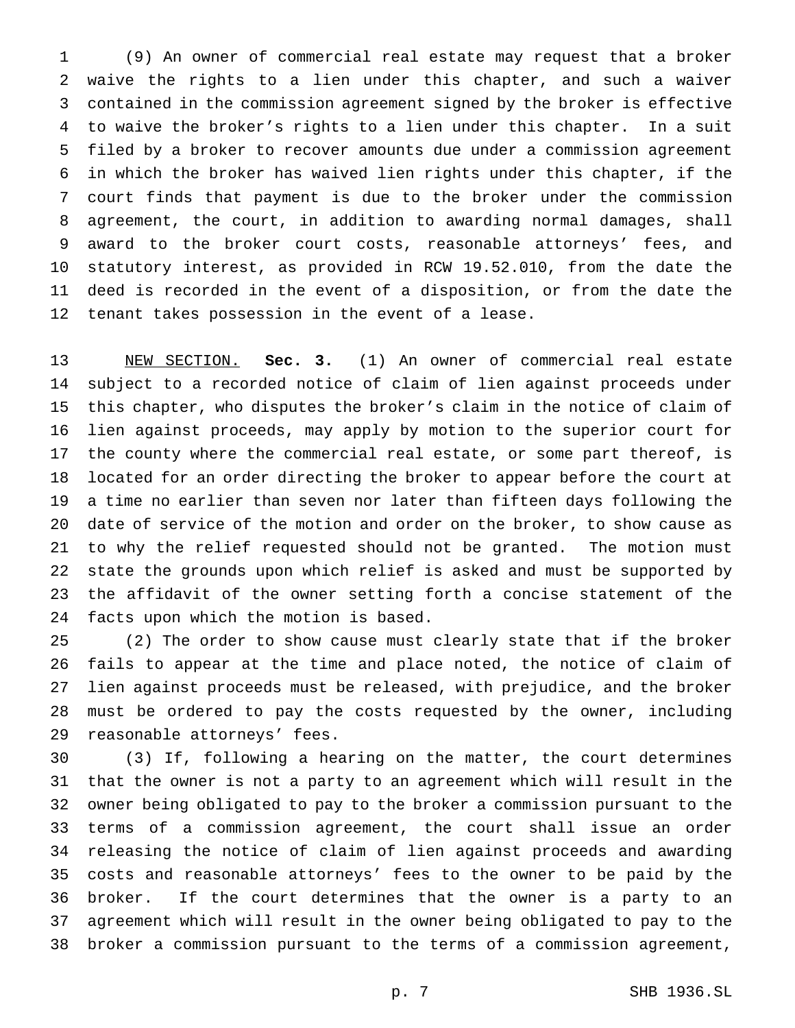(9) An owner of commercial real estate may request that a broker waive the rights to a lien under this chapter, and such a waiver contained in the commission agreement signed by the broker is effective to waive the broker's rights to a lien under this chapter. In a suit filed by a broker to recover amounts due under a commission agreement in which the broker has waived lien rights under this chapter, if the court finds that payment is due to the broker under the commission agreement, the court, in addition to awarding normal damages, shall award to the broker court costs, reasonable attorneys' fees, and statutory interest, as provided in RCW 19.52.010, from the date the deed is recorded in the event of a disposition, or from the date the tenant takes possession in the event of a lease.

 NEW SECTION. **Sec. 3.** (1) An owner of commercial real estate subject to a recorded notice of claim of lien against proceeds under this chapter, who disputes the broker's claim in the notice of claim of lien against proceeds, may apply by motion to the superior court for the county where the commercial real estate, or some part thereof, is located for an order directing the broker to appear before the court at a time no earlier than seven nor later than fifteen days following the date of service of the motion and order on the broker, to show cause as to why the relief requested should not be granted. The motion must state the grounds upon which relief is asked and must be supported by the affidavit of the owner setting forth a concise statement of the facts upon which the motion is based.

 (2) The order to show cause must clearly state that if the broker fails to appear at the time and place noted, the notice of claim of lien against proceeds must be released, with prejudice, and the broker must be ordered to pay the costs requested by the owner, including reasonable attorneys' fees.

 (3) If, following a hearing on the matter, the court determines that the owner is not a party to an agreement which will result in the owner being obligated to pay to the broker a commission pursuant to the terms of a commission agreement, the court shall issue an order releasing the notice of claim of lien against proceeds and awarding costs and reasonable attorneys' fees to the owner to be paid by the broker. If the court determines that the owner is a party to an agreement which will result in the owner being obligated to pay to the broker a commission pursuant to the terms of a commission agreement,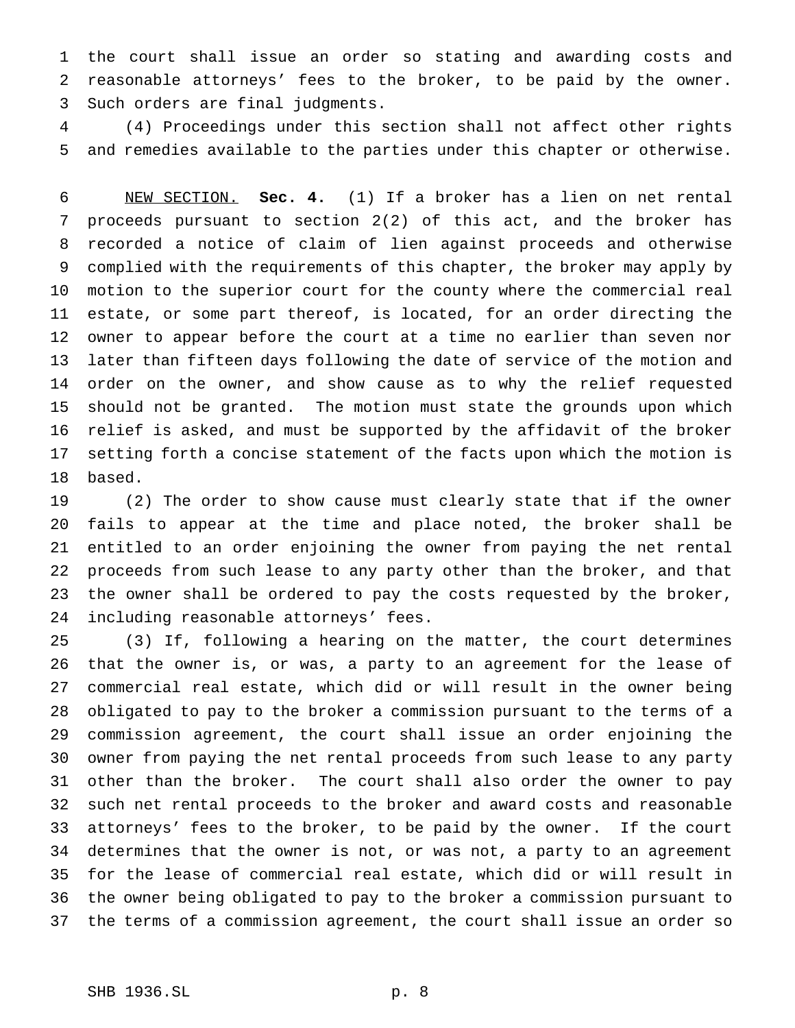the court shall issue an order so stating and awarding costs and reasonable attorneys' fees to the broker, to be paid by the owner. Such orders are final judgments.

 (4) Proceedings under this section shall not affect other rights and remedies available to the parties under this chapter or otherwise.

 NEW SECTION. **Sec. 4.** (1) If a broker has a lien on net rental proceeds pursuant to section 2(2) of this act, and the broker has recorded a notice of claim of lien against proceeds and otherwise complied with the requirements of this chapter, the broker may apply by motion to the superior court for the county where the commercial real estate, or some part thereof, is located, for an order directing the owner to appear before the court at a time no earlier than seven nor later than fifteen days following the date of service of the motion and order on the owner, and show cause as to why the relief requested should not be granted. The motion must state the grounds upon which relief is asked, and must be supported by the affidavit of the broker setting forth a concise statement of the facts upon which the motion is based.

 (2) The order to show cause must clearly state that if the owner fails to appear at the time and place noted, the broker shall be entitled to an order enjoining the owner from paying the net rental proceeds from such lease to any party other than the broker, and that the owner shall be ordered to pay the costs requested by the broker, including reasonable attorneys' fees.

 (3) If, following a hearing on the matter, the court determines that the owner is, or was, a party to an agreement for the lease of commercial real estate, which did or will result in the owner being obligated to pay to the broker a commission pursuant to the terms of a commission agreement, the court shall issue an order enjoining the owner from paying the net rental proceeds from such lease to any party other than the broker. The court shall also order the owner to pay such net rental proceeds to the broker and award costs and reasonable attorneys' fees to the broker, to be paid by the owner. If the court determines that the owner is not, or was not, a party to an agreement for the lease of commercial real estate, which did or will result in the owner being obligated to pay to the broker a commission pursuant to the terms of a commission agreement, the court shall issue an order so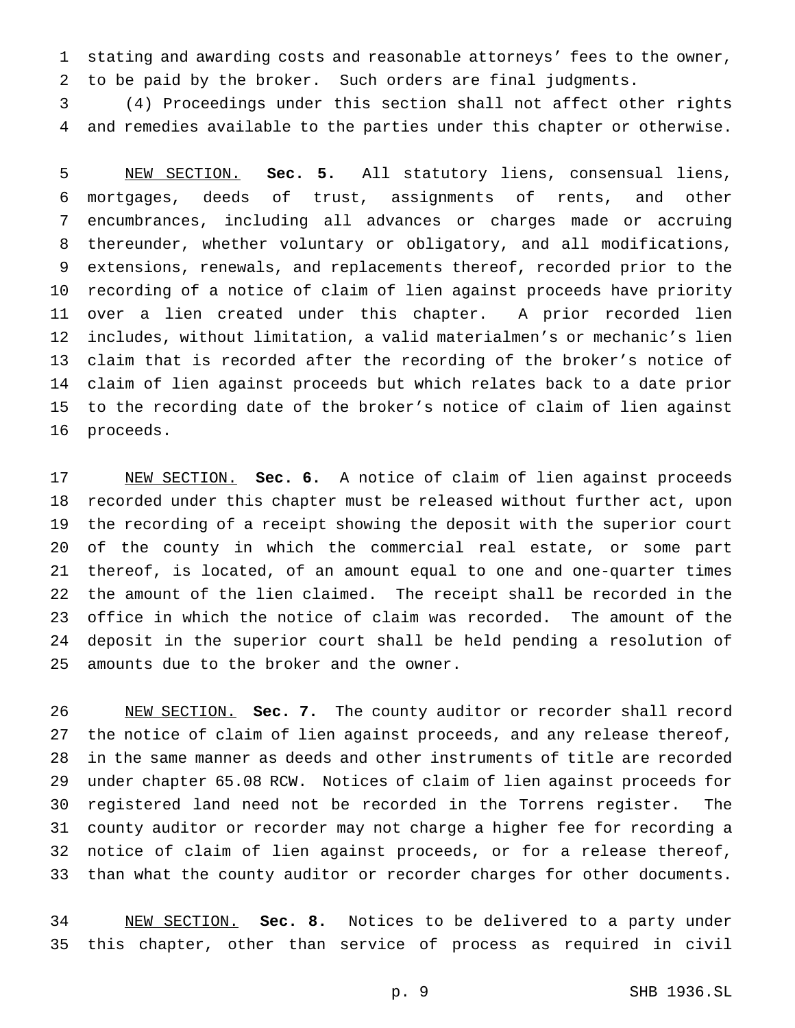stating and awarding costs and reasonable attorneys' fees to the owner, to be paid by the broker. Such orders are final judgments.

 (4) Proceedings under this section shall not affect other rights and remedies available to the parties under this chapter or otherwise.

 NEW SECTION. **Sec. 5.** All statutory liens, consensual liens, mortgages, deeds of trust, assignments of rents, and other encumbrances, including all advances or charges made or accruing thereunder, whether voluntary or obligatory, and all modifications, extensions, renewals, and replacements thereof, recorded prior to the recording of a notice of claim of lien against proceeds have priority over a lien created under this chapter. A prior recorded lien includes, without limitation, a valid materialmen's or mechanic's lien claim that is recorded after the recording of the broker's notice of claim of lien against proceeds but which relates back to a date prior to the recording date of the broker's notice of claim of lien against proceeds.

 NEW SECTION. **Sec. 6.** A notice of claim of lien against proceeds recorded under this chapter must be released without further act, upon the recording of a receipt showing the deposit with the superior court of the county in which the commercial real estate, or some part thereof, is located, of an amount equal to one and one-quarter times the amount of the lien claimed. The receipt shall be recorded in the office in which the notice of claim was recorded. The amount of the deposit in the superior court shall be held pending a resolution of amounts due to the broker and the owner.

 NEW SECTION. **Sec. 7.** The county auditor or recorder shall record the notice of claim of lien against proceeds, and any release thereof, in the same manner as deeds and other instruments of title are recorded under chapter 65.08 RCW. Notices of claim of lien against proceeds for registered land need not be recorded in the Torrens register. The county auditor or recorder may not charge a higher fee for recording a notice of claim of lien against proceeds, or for a release thereof, than what the county auditor or recorder charges for other documents.

 NEW SECTION. **Sec. 8.** Notices to be delivered to a party under this chapter, other than service of process as required in civil